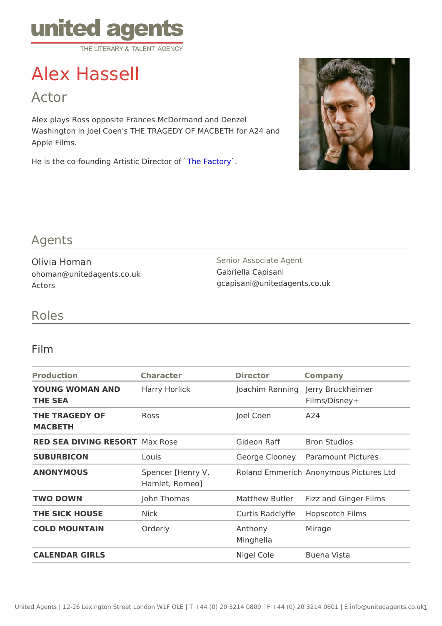# Alex Hassell

Actor

Alex plays Ross opposite Frances McDormand and Denzel Washington in Joel Coen's THE TRAGEDY OF MACBETH for A24 and Apple Films.

He is the co-founding Artistic TD iereFatoria of `

#### Agents

Olivia Homan ohoman@unitedagents.co.uk Actors

Senior Associate Agent Gabriella Capisani gcapisani@unitedagents.co.uk

#### Roles

#### Film

| Production                               | Character      | Director             | Company                                                |
|------------------------------------------|----------------|----------------------|--------------------------------------------------------|
| YOUNG WOMAN AND Harry Horlick<br>THE SEA |                |                      | Joachim RønnJiengry Bruckheimer<br>Films/Disney+       |
| THE TRAGEDY OF<br>MACBETH                | Ross           | Joel Coen            | A 24                                                   |
| RED SEA DIVING RESMORTRose               |                |                      | Gideon Raff Bron Studios                               |
| <b>SUBURBICON</b>                        | Louis          |                      | George Cloon Paramount Pictures                        |
| ANONYMOUS                                | Hamlet, Romeo] |                      | Spencer [Henry V, Roland EmmeAincomy mous Pictures Ltd |
| TWO DOWN                                 | John Thomas    |                      | Matthew Butlerizz and Ginger Films                     |
| THE SICK HOUSE                           | Nick           |                      | Curtis Radcly Hifcep scotch Films                      |
| COLD MOUNTAIN                            | Orderly        | Anthony<br>Minghella | Mirage                                                 |
| CALENDAR GIRLS                           |                | Nigel Cole           | Buena Vista                                            |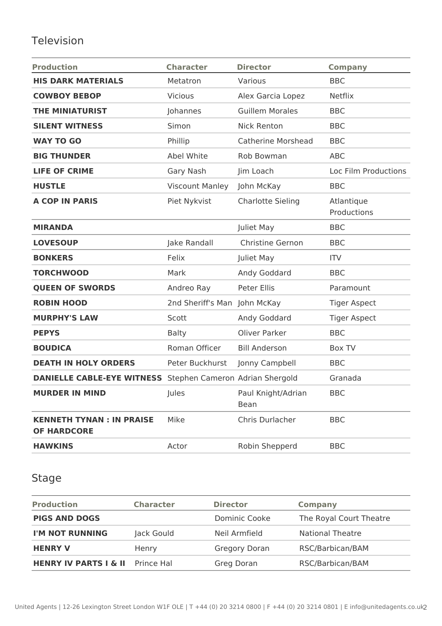## Television

| <b>Production</b>                                                 | <b>Character</b>             | <b>Director</b>            | <b>Company</b>            |
|-------------------------------------------------------------------|------------------------------|----------------------------|---------------------------|
| <b>HIS DARK MATERIALS</b>                                         | Metatron                     | Various                    | <b>BBC</b>                |
| <b>COWBOY BEBOP</b>                                               | <b>Vicious</b>               | Alex Garcia Lopez          | <b>Netflix</b>            |
| <b>THE MINIATURIST</b>                                            | Johannes                     | <b>Guillem Morales</b>     | <b>BBC</b>                |
| <b>SILENT WITNESS</b>                                             | Simon                        | <b>Nick Renton</b>         | <b>BBC</b>                |
| <b>WAY TO GO</b>                                                  | Phillip                      | <b>Catherine Morshead</b>  | <b>BBC</b>                |
| <b>BIG THUNDER</b>                                                | <b>Abel White</b>            | Rob Bowman                 | <b>ABC</b>                |
| <b>LIFE OF CRIME</b>                                              | Gary Nash                    | Jim Loach                  | Loc Film Productions      |
| <b>HUSTLE</b>                                                     | <b>Viscount Manley</b>       | John McKay                 | <b>BBC</b>                |
| <b>A COP IN PARIS</b>                                             | Piet Nykvist                 | <b>Charlotte Sieling</b>   | Atlantique<br>Productions |
| <b>MIRANDA</b>                                                    |                              | Juliet May                 | <b>BBC</b>                |
| <b>LOVESOUP</b>                                                   | Jake Randall                 | Christine Gernon           | <b>BBC</b>                |
| <b>BONKERS</b>                                                    | Felix                        | Juliet May                 | <b>ITV</b>                |
| <b>TORCHWOOD</b>                                                  | Mark                         | Andy Goddard               | <b>BBC</b>                |
| <b>QUEEN OF SWORDS</b>                                            | Andreo Ray                   | Peter Ellis                | Paramount                 |
| <b>ROBIN HOOD</b>                                                 | 2nd Sheriff's Man John McKay |                            | <b>Tiger Aspect</b>       |
| <b>MURPHY'S LAW</b>                                               | Scott                        | Andy Goddard               | <b>Tiger Aspect</b>       |
| <b>PEPYS</b>                                                      | <b>Balty</b>                 | Oliver Parker              | <b>BBC</b>                |
| <b>BOUDICA</b>                                                    | Roman Officer                | <b>Bill Anderson</b>       | Box TV                    |
| <b>DEATH IN HOLY ORDERS</b>                                       | Peter Buckhurst              | Jonny Campbell             | <b>BBC</b>                |
| <b>DANIELLE CABLE-EYE WITNESS</b> Stephen Cameron Adrian Shergold |                              |                            | Granada                   |
| <b>MURDER IN MIND</b>                                             | Jules                        | Paul Knight/Adrian<br>Bean | <b>BBC</b>                |
| <b>KENNETH TYNAN : IN PRAISE</b><br><b>OF HARDCORE</b>            | Mike                         | Chris Durlacher            | <b>BBC</b>                |
| <b>HAWKINS</b>                                                    | Actor                        | Robin Shepperd             | <b>BBC</b>                |

## Stage

| <b>Production</b>                           | <b>Character</b> | <b>Director</b> | Company                 |
|---------------------------------------------|------------------|-----------------|-------------------------|
| <b>PIGS AND DOGS</b>                        |                  | Dominic Cooke   | The Royal Court Theatre |
| I'M NOT RUNNING                             | Jack Gould       | Neil Armfield   | <b>National Theatre</b> |
| <b>HENRY V</b>                              | Henry            | Gregory Doran   | RSC/Barbican/BAM        |
| <b>HENRY IV PARTS I &amp; II</b> Prince Hal |                  | Greg Doran      | RSC/Barbican/BAM        |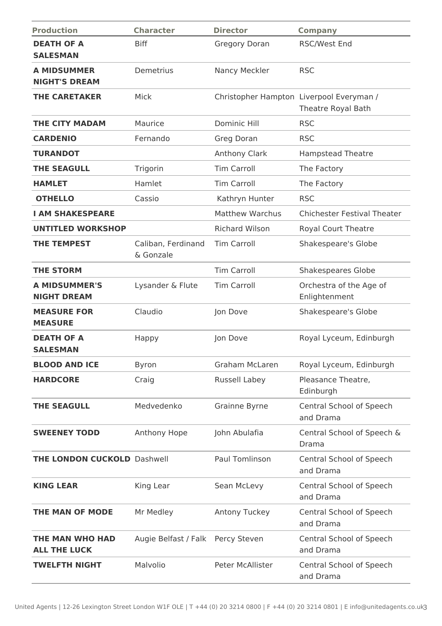| <b>Production</b>                          | <b>Character</b>                | <b>Director</b>        | <b>Company</b>                                                 |
|--------------------------------------------|---------------------------------|------------------------|----------------------------------------------------------------|
| <b>DEATH OF A</b><br><b>SALESMAN</b>       | <b>Biff</b>                     | <b>Gregory Doran</b>   | <b>RSC/West End</b>                                            |
| <b>A MIDSUMMER</b><br><b>NIGHT'S DREAM</b> | Demetrius                       | Nancy Meckler          | <b>RSC</b>                                                     |
| <b>THE CARETAKER</b>                       | Mick                            |                        | Christopher Hampton Liverpool Everyman /<br>Theatre Royal Bath |
| <b>THE CITY MADAM</b>                      | Maurice                         | <b>Dominic Hill</b>    | <b>RSC</b>                                                     |
| <b>CARDENIO</b>                            | Fernando                        | Greg Doran             | <b>RSC</b>                                                     |
| <b>TURANDOT</b>                            |                                 | <b>Anthony Clark</b>   | <b>Hampstead Theatre</b>                                       |
| <b>THE SEAGULL</b>                         | Trigorin                        | <b>Tim Carroll</b>     | The Factory                                                    |
| <b>HAMLET</b>                              | Hamlet                          | <b>Tim Carroll</b>     | The Factory                                                    |
| <b>OTHELLO</b>                             | Cassio                          | Kathryn Hunter         | <b>RSC</b>                                                     |
| <b>I AM SHAKESPEARE</b>                    |                                 | <b>Matthew Warchus</b> | <b>Chichester Festival Theater</b>                             |
| <b>UNTITLED WORKSHOP</b>                   |                                 | <b>Richard Wilson</b>  | <b>Royal Court Theatre</b>                                     |
| <b>THE TEMPEST</b>                         | Caliban, Ferdinand<br>& Gonzale | <b>Tim Carroll</b>     | Shakespeare's Globe                                            |
| <b>THE STORM</b>                           |                                 | <b>Tim Carroll</b>     | <b>Shakespeares Globe</b>                                      |
| <b>A MIDSUMMER'S</b><br><b>NIGHT DREAM</b> | Lysander & Flute                | <b>Tim Carroll</b>     | Orchestra of the Age of<br>Enlightenment                       |
| <b>MEASURE FOR</b><br><b>MEASURE</b>       | Claudio                         | Jon Dove               | Shakespeare's Globe                                            |
| <b>DEATH OF A</b><br><b>SALESMAN</b>       | Happy                           | Jon Dove               | Royal Lyceum, Edinburgh                                        |
| <b>BLOOD AND ICE</b>                       | <b>Byron</b>                    | <b>Graham McLaren</b>  | Royal Lyceum, Edinburgh                                        |
| <b>HARDCORE</b>                            | Craig                           | Russell Labey          | Pleasance Theatre,<br>Edinburgh                                |
| <b>THE SEAGULL</b>                         | Medvedenko                      | Grainne Byrne          | Central School of Speech<br>and Drama                          |
| <b>SWEENEY TODD</b>                        | Anthony Hope                    | John Abulafia          | Central School of Speech &<br>Drama                            |
| <b>THE LONDON CUCKOLD Dashwell</b>         |                                 | Paul Tomlinson         | Central School of Speech<br>and Drama                          |
| <b>KING LEAR</b>                           | King Lear                       | Sean McLevy            | Central School of Speech<br>and Drama                          |
| THE MAN OF MODE                            | Mr Medley                       | Antony Tuckey          | Central School of Speech<br>and Drama                          |
| THE MAN WHO HAD<br><b>ALL THE LUCK</b>     | Augie Belfast / Falk            | Percy Steven           | Central School of Speech<br>and Drama                          |
| <b>TWELFTH NIGHT</b>                       | Malvolio                        | Peter McAllister       | Central School of Speech<br>and Drama                          |